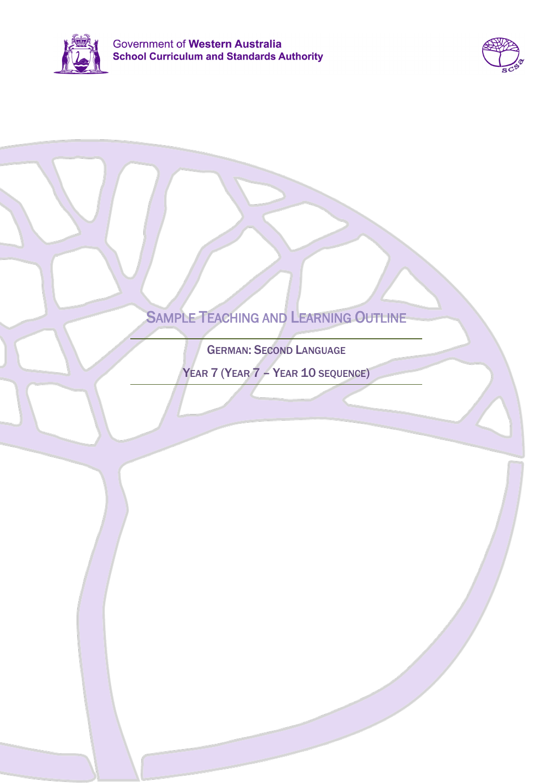



# SAMPLE TEACHING AND LEARNING OUTLINE

GERMAN: SECOND LANGUAGE

YEAR 7 (YEAR 7 – YEAR 10 SEQUENCE)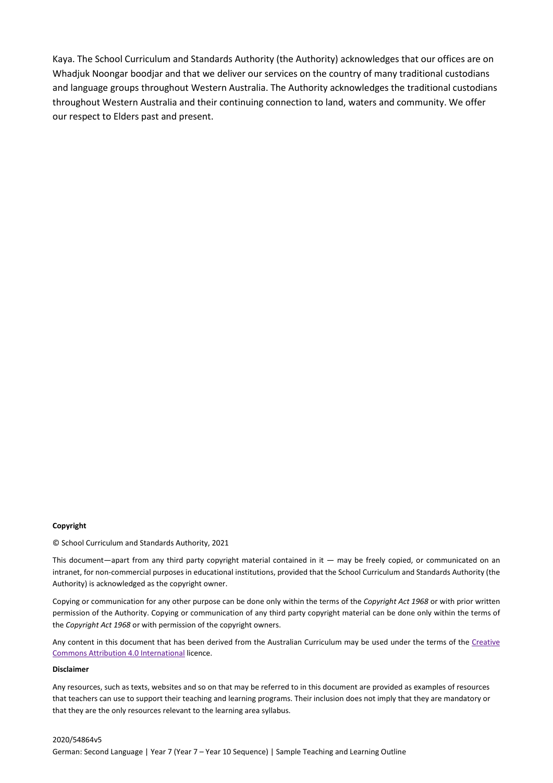Kaya. The School Curriculum and Standards Authority (the Authority) acknowledges that our offices are on Whadjuk Noongar boodjar and that we deliver our services on the country of many traditional custodians and language groups throughout Western Australia. The Authority acknowledges the traditional custodians throughout Western Australia and their continuing connection to land, waters and community. We offer our respect to Elders past and present.

#### **Copyright**

© School Curriculum and Standards Authority, 2021

This document—apart from any third party copyright material contained in it — may be freely copied, or communicated on an intranet, for non-commercial purposes in educational institutions, provided that the School Curriculum and Standards Authority (the Authority) is acknowledged as the copyright owner.

Copying or communication for any other purpose can be done only within the terms of the *Copyright Act 1968* or with prior written permission of the Authority. Copying or communication of any third party copyright material can be done only within the terms of the *Copyright Act 1968* or with permission of the copyright owners.

Any content in this document that has been derived from the Australian Curriculum may be used under the terms of the Creative [Commons Attribution 4.0 International](https://creativecommons.org/licenses/by/4.0/) licence.

#### **Disclaimer**

Any resources, such as texts, websites and so on that may be referred to in this document are provided as examples of resources that teachers can use to support their teaching and learning programs. Their inclusion does not imply that they are mandatory or that they are the only resources relevant to the learning area syllabus.

#### 2020/54864v5

German: Second Language | Year 7 (Year 7 – Year 10 Sequence) | Sample Teaching and Learning Outline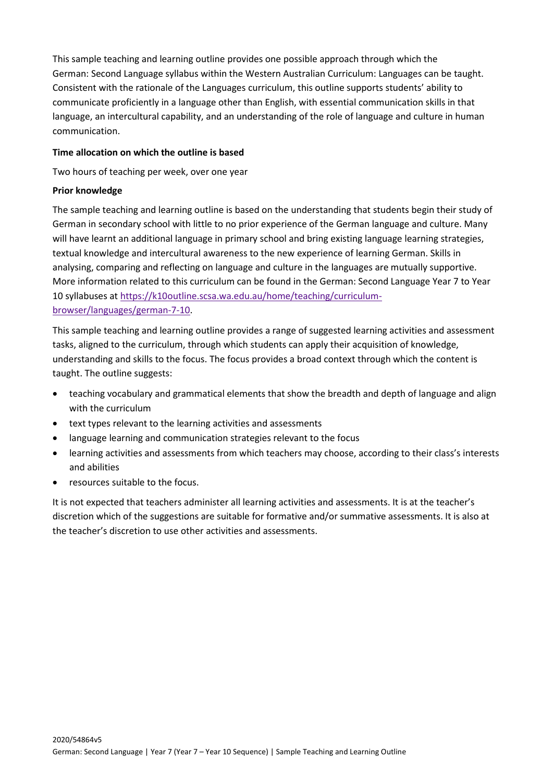This sample teaching and learning outline provides one possible approach through which the German: Second Language syllabus within the Western Australian Curriculum: Languages can be taught. Consistent with the rationale of the Languages curriculum, this outline supports students' ability to communicate proficiently in a language other than English, with essential communication skills in that language, an intercultural capability, and an understanding of the role of language and culture in human communication.

## **Time allocation on which the outline is based**

Two hours of teaching per week, over one year

## **Prior knowledge**

The sample teaching and learning outline is based on the understanding that students begin their study of German in secondary school with little to no prior experience of the German language and culture. Many will have learnt an additional language in primary school and bring existing language learning strategies, textual knowledge and intercultural awareness to the new experience of learning German. Skills in analysing, comparing and reflecting on language and culture in the languages are mutually supportive. More information related to this curriculum can be found in the German: Second Language Year 7 to Year 10 syllabuses a[t https://k10outline.scsa.wa.edu.au/home/teaching/curriculum](https://k10outline.scsa.wa.edu.au/home/teaching/curriculum-browser/languages/german-7-10)[browser/languages/german-7-10.](https://k10outline.scsa.wa.edu.au/home/teaching/curriculum-browser/languages/german-7-10)

This sample teaching and learning outline provides a range of suggested learning activities and assessment tasks, aligned to the curriculum, through which students can apply their acquisition of knowledge, understanding and skills to the focus. The focus provides a broad context through which the content is taught. The outline suggests:

- teaching vocabulary and grammatical elements that show the breadth and depth of language and align with the curriculum
- text types relevant to the learning activities and assessments
- language learning and communication strategies relevant to the focus
- learning activities and assessments from which teachers may choose, according to their class's interests and abilities
- resources suitable to the focus.

It is not expected that teachers administer all learning activities and assessments. It is at the teacher's discretion which of the suggestions are suitable for formative and/or summative assessments. It is also at the teacher's discretion to use other activities and assessments.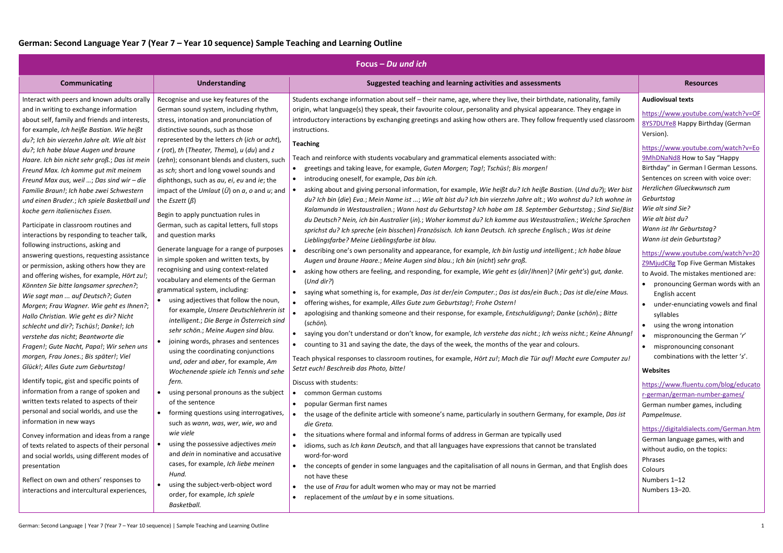## **German: Second Language Year 7 (Year 7 – Year 10 sequence) Sample Teaching and Learning Outline**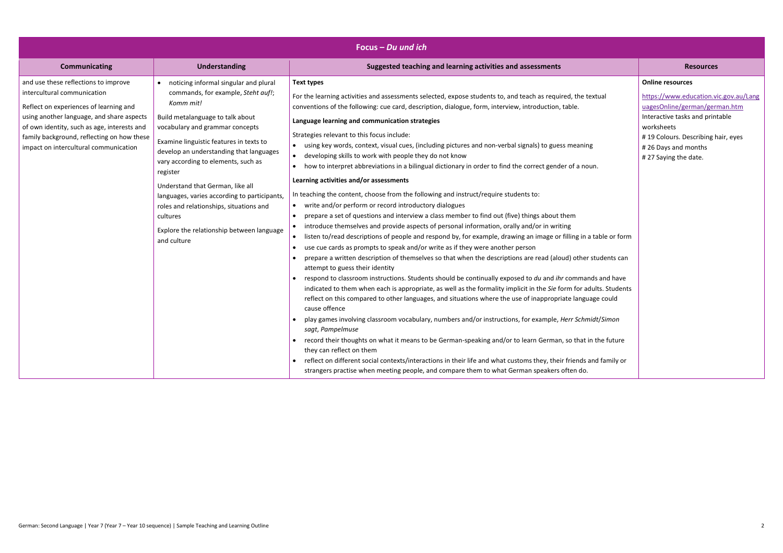| Focus – Du und ich                                                                                                                                                                                                                                                                               |                                                                                                                                                                                                                                                                                                                                                                                                                                                                                                                 |                                                                                                                                                                                                                                                                                                                                                                                                                                                                                                                                                                                                                                                                                                                                                                                                                                                                                                                                                                                                                                                                                                                                                                                                                                                                                                                                                                                                                                                                                                                                                                                                                                                                                                                                                                                                                                                                                                                                                                                                                                                                                                                                                                                                                                                                          |                                                                                                                                                                                                                                         |  |
|--------------------------------------------------------------------------------------------------------------------------------------------------------------------------------------------------------------------------------------------------------------------------------------------------|-----------------------------------------------------------------------------------------------------------------------------------------------------------------------------------------------------------------------------------------------------------------------------------------------------------------------------------------------------------------------------------------------------------------------------------------------------------------------------------------------------------------|--------------------------------------------------------------------------------------------------------------------------------------------------------------------------------------------------------------------------------------------------------------------------------------------------------------------------------------------------------------------------------------------------------------------------------------------------------------------------------------------------------------------------------------------------------------------------------------------------------------------------------------------------------------------------------------------------------------------------------------------------------------------------------------------------------------------------------------------------------------------------------------------------------------------------------------------------------------------------------------------------------------------------------------------------------------------------------------------------------------------------------------------------------------------------------------------------------------------------------------------------------------------------------------------------------------------------------------------------------------------------------------------------------------------------------------------------------------------------------------------------------------------------------------------------------------------------------------------------------------------------------------------------------------------------------------------------------------------------------------------------------------------------------------------------------------------------------------------------------------------------------------------------------------------------------------------------------------------------------------------------------------------------------------------------------------------------------------------------------------------------------------------------------------------------------------------------------------------------------------------------------------------------|-----------------------------------------------------------------------------------------------------------------------------------------------------------------------------------------------------------------------------------------|--|
| <b>Communicating</b>                                                                                                                                                                                                                                                                             | <b>Understanding</b>                                                                                                                                                                                                                                                                                                                                                                                                                                                                                            | Suggested teaching and learning activities and assessments                                                                                                                                                                                                                                                                                                                                                                                                                                                                                                                                                                                                                                                                                                                                                                                                                                                                                                                                                                                                                                                                                                                                                                                                                                                                                                                                                                                                                                                                                                                                                                                                                                                                                                                                                                                                                                                                                                                                                                                                                                                                                                                                                                                                               | <b>Resources</b>                                                                                                                                                                                                                        |  |
| and use these reflections to improve<br>intercultural communication<br>Reflect on experiences of learning and<br>using another language, and share aspects<br>of own identity, such as age, interests and<br>family background, reflecting on how these<br>impact on intercultural communication | noticing informal singular and plural<br>commands, for example, Steht auf!;<br>Komm mit!<br>Build metalanguage to talk about<br>vocabulary and grammar concepts<br>Examine linguistic features in texts to<br>develop an understanding that languages<br>vary according to elements, such as<br>register<br>Understand that German, like all<br>languages, varies according to participants,<br>roles and relationships, situations and<br>cultures<br>Explore the relationship between language<br>and culture | <b>Text types</b><br>For the learning activities and assessments selected, expose students to, and teach as required, the textual<br>conventions of the following: cue card, description, dialogue, form, interview, introduction, table.<br>Language learning and communication strategies<br>Strategies relevant to this focus include:<br>• using key words, context, visual cues, (including pictures and non-verbal signals) to guess meaning<br>developing skills to work with people they do not know<br>• how to interpret abbreviations in a bilingual dictionary in order to find the correct gender of a noun.<br>Learning activities and/or assessments<br>In teaching the content, choose from the following and instruct/require students to:<br>• write and/or perform or record introductory dialogues<br>prepare a set of questions and interview a class member to find out (five) things about them<br>introduce themselves and provide aspects of personal information, orally and/or in writing<br>listen to/read descriptions of people and respond by, for example, drawing an image or filling in a table or form<br>$\bullet$<br>use cue cards as prompts to speak and/or write as if they were another person<br>$\bullet$<br>prepare a written description of themselves so that when the descriptions are read (aloud) other students can<br>attempt to guess their identity<br>respond to classroom instructions. Students should be continually exposed to du and ihr commands and have<br>indicated to them when each is appropriate, as well as the formality implicit in the Sie form for adults. Students<br>reflect on this compared to other languages, and situations where the use of inappropriate language could<br>cause offence<br>play games involving classroom vocabulary, numbers and/or instructions, for example, Herr Schmidt/Simon<br>sagt, Pampelmuse<br>• record their thoughts on what it means to be German-speaking and/or to learn German, so that in the future<br>they can reflect on them<br>reflect on different social contexts/interactions in their life and what customs they, their friends and family or<br>strangers practise when meeting people, and compare them to what German speakers often do. | <b>Online resources</b><br>https://www.education.vic.gov.au/Lang<br>uagesOnline/german/german.htm<br>Interactive tasks and printable<br>worksheets<br>#19 Colours. Describing hair, eyes<br>#26 Days and months<br>#27 Saying the date. |  |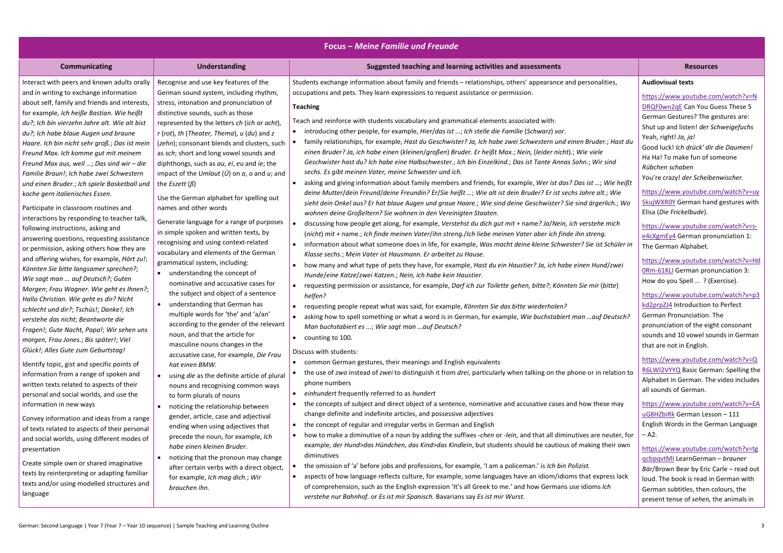| <b>Focus - Meine Familie und Freunde</b>                                                                                                                                                                                                                                                                                                                                                                                                                                                                                                                                                                                                                                                                                                                                                                                                                                                                 |                                                                                                                                                                                                                                                                                                                                                                                                                                                                                                                                                                                                                                                                                                                                                                                                                                                               |                                                                                                                                                                                                                                                                                                                                                                                                                                                                                                                                                                                                                                                                                                                                                                                                                                                                                                                                                                                                                                                                                                                                                                                                                                                                                                                                                                                                                                                                                                                                                                                                                                                                                                                                                                                                                                            |                                                                                                                                                                                                                                                                                                                                                                                                                                                                                                                                                                                                                                                                              |  |
|----------------------------------------------------------------------------------------------------------------------------------------------------------------------------------------------------------------------------------------------------------------------------------------------------------------------------------------------------------------------------------------------------------------------------------------------------------------------------------------------------------------------------------------------------------------------------------------------------------------------------------------------------------------------------------------------------------------------------------------------------------------------------------------------------------------------------------------------------------------------------------------------------------|---------------------------------------------------------------------------------------------------------------------------------------------------------------------------------------------------------------------------------------------------------------------------------------------------------------------------------------------------------------------------------------------------------------------------------------------------------------------------------------------------------------------------------------------------------------------------------------------------------------------------------------------------------------------------------------------------------------------------------------------------------------------------------------------------------------------------------------------------------------|--------------------------------------------------------------------------------------------------------------------------------------------------------------------------------------------------------------------------------------------------------------------------------------------------------------------------------------------------------------------------------------------------------------------------------------------------------------------------------------------------------------------------------------------------------------------------------------------------------------------------------------------------------------------------------------------------------------------------------------------------------------------------------------------------------------------------------------------------------------------------------------------------------------------------------------------------------------------------------------------------------------------------------------------------------------------------------------------------------------------------------------------------------------------------------------------------------------------------------------------------------------------------------------------------------------------------------------------------------------------------------------------------------------------------------------------------------------------------------------------------------------------------------------------------------------------------------------------------------------------------------------------------------------------------------------------------------------------------------------------------------------------------------------------------------------------------------------------|------------------------------------------------------------------------------------------------------------------------------------------------------------------------------------------------------------------------------------------------------------------------------------------------------------------------------------------------------------------------------------------------------------------------------------------------------------------------------------------------------------------------------------------------------------------------------------------------------------------------------------------------------------------------------|--|
| <b>Communicating</b>                                                                                                                                                                                                                                                                                                                                                                                                                                                                                                                                                                                                                                                                                                                                                                                                                                                                                     | <b>Understanding</b>                                                                                                                                                                                                                                                                                                                                                                                                                                                                                                                                                                                                                                                                                                                                                                                                                                          | Suggested teaching and learning activities and assessments                                                                                                                                                                                                                                                                                                                                                                                                                                                                                                                                                                                                                                                                                                                                                                                                                                                                                                                                                                                                                                                                                                                                                                                                                                                                                                                                                                                                                                                                                                                                                                                                                                                                                                                                                                                 | <b>Resources</b>                                                                                                                                                                                                                                                                                                                                                                                                                                                                                                                                                                                                                                                             |  |
| Interact with peers and known adults orally<br>and in writing to exchange information<br>about self, family and friends and interests,<br>for example, Ich heiße Bastian. Wie heißt<br>du?; Ich bin vierzehn Jahre alt. Wie alt bist<br>du?; Ich habe blaue Augen und braune<br>Haare. Ich bin nicht sehr groß.; Das ist mein<br>Freund Max. Ich komme gut mit meinem<br>Freund Max aus, weil ; Das sind wir - die<br>Familie Braun!; Ich habe zwei Schwestern<br>und einen Bruder.; Ich spiele Basketball und<br>koche gern italienisches Essen.<br>Participate in classroom routines and<br>interactions by responding to teacher talk,<br>following instructions, asking and<br>answering questions, requesting assistance<br>or permission, asking others how they are<br>and offering wishes, for example, Hört zu!;<br>Könnten Sie bitte langsamer sprechen?;<br>Wie sagt man  auf Deutsch?; Guten | Recognise and use key features of the<br>German sound system, including rhythm,<br>stress, intonation and pronunciation of<br>distinctive sounds, such as those<br>represented by the letters ch (ich or acht),<br>r (rot), th (Theater, Thema), u (du) and z<br>(zehn); consonant blends and clusters, such<br>as sch; short and long vowel sounds and<br>diphthongs, such as au, ei, eu and ie; the<br>impact of the Umlaut $(\ddot{U})$ on $a$ , $o$ and $u$ ; and<br>the <i>Eszett</i> $(\beta)$<br>Use the German alphabet for spelling out<br>names and other words<br>Generate language for a range of purposes<br>in simple spoken and written texts, by<br>recognising and using context-related<br>vocabulary and elements of the German<br>grammatical system, including:<br>• understanding the concept of<br>nominative and accusative cases for | Students exchange information about family and friends - relationships, others' appearance and personalities,<br>occupations and pets. They learn expressions to request assistance or permission.<br><b>Teaching</b><br>Teach and reinforce with students vocabulary and grammatical elements associated with:<br>• introducing other people, for example, Hier/das ist ; Ich stelle die Familie (Schwarz) vor.<br>family relationships, for example, Hast du Geschwister? Ja, Ich habe zwei Schwestern und einen Bruder.; Hast du<br>einen Bruder? Ja, ich habe einen (kleinen/großen) Bruder. Er heißt Max.; Nein, (leider nicht).; Wie viele<br>Geschwister hast du? Ich habe eine Halbschwester.; Ich bin Einzelkind.; Das ist Tante Annas Sohn.; Wir sind<br>sechs. Es gibt meinen Vater, meine Schwester und ich.<br>asking and giving information about family members and friends, for example, Wer ist das? Das ist ; Wie heißt<br>deine Mutter/dein Freund/deine Freundin? Er/Sie heißt ; Wie alt ist dein Bruder? Er ist sechs Jahre alt.; Wie<br>sieht dein Onkel aus? Er hat blaue Augen und graue Haare.; Wie sind deine Geschwister? Sie sind ärgerlich.; Wo<br>wohnen deine Großeltern? Sie wohnen in den Vereinigten Staaten.<br>discussing how people get along, for example, Verstehst du dich gut mit + name? Ja/Nein, ich verstehe mich<br>(nicht) mit + name.; Ich finde meinen Vater/ihn streng./Ich liebe meinen Vater aber ich finde ihn streng.<br>information about what someone does in life, for example, Was macht deine kleine Schwester? Sie ist Schüler in<br>Klasse sechs.; Mein Vater ist Hausmann. Er arbeitet zu Hause.<br>how many and what type of pets they have, for example, Hast du ein Haustier? Ja, ich habe einen Hund/zwei<br>Hunde/eine Katze/zwei Katzen.; Nein, ich habe kein Haustier. | <b>Audiovisual texts</b><br>https://www.youtube.com/watch?v=N<br>DRQF0wn2qE Can You Guess These 5<br>German Gestures? The gestures are:<br>Shut up and listen! der Schweigefuchs<br>Yeah, right! Ja, ja!<br>Good luck! Ich drück' dir die Daumen!<br>Ha Ha! To make fun of someone<br>Rübchen schaben<br>You're crazy! der Scheibenwischer.<br>https://www.youtube.com/watch?v=uy<br>SkujWXR0Y German hand gestures with<br>Elisa (Die Frickelbude).<br>https://www.youtube.com/watch?v=s-<br>e4cXgmEy4 German pronunciation 1:<br>The German Alphabet.<br>https://www.youtube.com/watch?v=Hd<br><b>ORm-61KLI German pronunciation 3:</b><br>How do you Spell  ? (Exercise). |  |
| Morgen; Frau Wagner. Wie geht es Ihnen?;<br>Hallo Christian. Wie geht es dir? Nicht<br>schlecht und dir?; Tschüs!; Danke!; Ich<br>verstehe das nicht; Beantworte die<br>Fragen!; Gute Nacht, Papa!; Wir sehen uns<br>morgen, Frau Jones.; Bis später!; Viel<br>Glück!; Alles Gute zum Geburtstag!<br>Identify topic, gist and specific points of<br>information from a range of spoken and<br>written texts related to aspects of their<br>personal and social worlds, and use the<br>information in new ways<br>Convey information and ideas from a range<br>of texts related to aspects of their personal<br>and social worlds, using different modes of<br>presentation<br>Create simple own or shared imaginative                                                                                                                                                                                    | the subject and object of a sentence<br>• understanding that German has<br>multiple words for 'the' and 'a/an'<br>according to the gender of the relevant<br>noun, and that the article for<br>masculine nouns changes in the<br>accusative case, for example, Die Frau<br>hat einen BMW.<br>• using <i>die</i> as the definite article of plural<br>nouns and recognising common ways<br>to form plurals of nouns<br>• noticing the relationship between<br>gender, article, case and adjectival<br>ending when using adjectives that<br>precede the noun, for example, Ich<br>habe einen kleinen Bruder.<br>• noticing that the pronoun may change<br>after certain verbs with a direct object,                                                                                                                                                             | requesting permission or assistance, for example, Darf ich zur Toilette gehen, bitte?; Könnten Sie mir (bitte)<br>helfen?<br>• requesting people repeat what was said, for example, Könnten Sie das bitte wiederholen?<br>asking how to spell something or what a word is in German, for example, Wie buchstabiert man auf Deutsch?<br>Man buchstabiert es ; Wie sagt man  auf Deutsch?<br>$\bullet$ counting to 100.<br>Discuss with students:<br>• common German gestures, their meanings and English equivalents<br>the use of zwo instead of zwei to distinguish it from drei, particularly when talking on the phone or in relation to<br>phone numbers<br>einhundert frequently referred to as hundert<br>$\bullet$<br>• the concepts of subject and direct object of a sentence, nominative and accusative cases and how these may<br>change definite and indefinite articles, and possessive adjectives<br>the concept of regular and irregular verbs in German and English<br>$\bullet$<br>how to make a diminutive of a noun by adding the suffixes -chen or -lein, and that all diminutives are neuter, for<br>example, der Hund>das Hündchen, das Kind>das Kindlein, but students should be cautious of making their own<br>diminutives<br>the omission of 'a' before jobs and professions, for example, 'I am a policeman.' is Ich bin Polizist.                                                                                                                                                                                                                                                                                                                                                                                                                                                                              | https://www.youtube.com/watch?v=p3<br>kd2prpZJ4 Introduction to Perfect<br>German Pronunciation. The<br>pronunciation of the eight consonant<br>sounds and 10 vowel sounds in German<br>that are not in English.<br>https://www.youtube.com/watch?v=Q<br>R6LWI2VYYQ Basic German: Spelling the<br>Alphabet in German. The video includes<br>all sounds of German.<br>https://www.youtube.com/watch?v=EA<br>uG8HZbiRk German Lesson - 111<br>English Words in the German Language<br>$-A2.$<br>https://www.youtube.com/watch?v=tg<br>qcbpqvtMI LearnGerman - brauner<br>Bär/Brown Bear by Eric Carle - read out                                                               |  |
| texts by reinterpreting or adapting familiar<br>texts and/or using modelled structures and<br>language                                                                                                                                                                                                                                                                                                                                                                                                                                                                                                                                                                                                                                                                                                                                                                                                   | for example, Ich mag dich.; Wir<br>brauchen ihn.                                                                                                                                                                                                                                                                                                                                                                                                                                                                                                                                                                                                                                                                                                                                                                                                              | • aspects of how language reflects culture, for example, some languages have an idiom/idioms that express lack<br>of comprehension, such as the English expression 'It's all Greek to me.' and how Germans use idioms Ich<br>verstehe nur Bahnhof. or Es ist mir Spanisch. Bavarians say Es ist mir Wurst.                                                                                                                                                                                                                                                                                                                                                                                                                                                                                                                                                                                                                                                                                                                                                                                                                                                                                                                                                                                                                                                                                                                                                                                                                                                                                                                                                                                                                                                                                                                                 | loud. The book is read in German with<br>German subtitles, then colours, the<br>present tense of sehen, the animals in                                                                                                                                                                                                                                                                                                                                                                                                                                                                                                                                                       |  |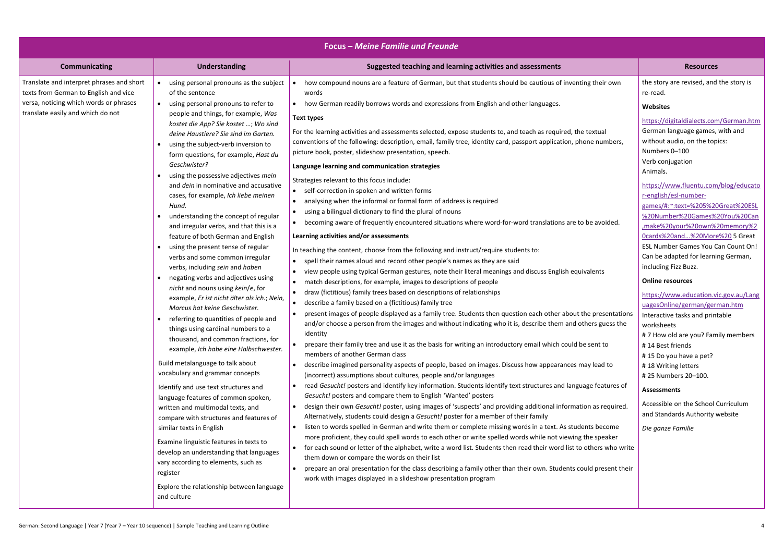| <b>Focus - Meine Familie und Freunde</b>                                                                                                                          |                                                                                                                                                                                                                                                                                                                                                                                                                                                                                                                                                                                                                                                                                                                                                                                                                                                                                                                                                                                                                                                                                                                                                                                                                                                                                                                                                                                                                                                                                                        |                                                                                                                                                                                                                                                                                                                                                                                                                                                                                                                                                                                                                                                                                                                                                                                                                                                                                                                                                                                                                                                                                                                                                                                                                                                                                                                                                                                                                                                                                                                                                                                                                                                                                                                                                                                                                                                                                                                                                                                                                                                                                                                                                                                                                                                                                                                                                                                                                                                                                                                                                                                                                                                                                                                                                                                                                                                                                                                                                                                                                                    |                                                                                                                                                                                                                                                                                                                                                                                                                                                                                                                                                                                                                                                                                                                                                                                                                                                                                                                                                                    |
|-------------------------------------------------------------------------------------------------------------------------------------------------------------------|--------------------------------------------------------------------------------------------------------------------------------------------------------------------------------------------------------------------------------------------------------------------------------------------------------------------------------------------------------------------------------------------------------------------------------------------------------------------------------------------------------------------------------------------------------------------------------------------------------------------------------------------------------------------------------------------------------------------------------------------------------------------------------------------------------------------------------------------------------------------------------------------------------------------------------------------------------------------------------------------------------------------------------------------------------------------------------------------------------------------------------------------------------------------------------------------------------------------------------------------------------------------------------------------------------------------------------------------------------------------------------------------------------------------------------------------------------------------------------------------------------|------------------------------------------------------------------------------------------------------------------------------------------------------------------------------------------------------------------------------------------------------------------------------------------------------------------------------------------------------------------------------------------------------------------------------------------------------------------------------------------------------------------------------------------------------------------------------------------------------------------------------------------------------------------------------------------------------------------------------------------------------------------------------------------------------------------------------------------------------------------------------------------------------------------------------------------------------------------------------------------------------------------------------------------------------------------------------------------------------------------------------------------------------------------------------------------------------------------------------------------------------------------------------------------------------------------------------------------------------------------------------------------------------------------------------------------------------------------------------------------------------------------------------------------------------------------------------------------------------------------------------------------------------------------------------------------------------------------------------------------------------------------------------------------------------------------------------------------------------------------------------------------------------------------------------------------------------------------------------------------------------------------------------------------------------------------------------------------------------------------------------------------------------------------------------------------------------------------------------------------------------------------------------------------------------------------------------------------------------------------------------------------------------------------------------------------------------------------------------------------------------------------------------------------------------------------------------------------------------------------------------------------------------------------------------------------------------------------------------------------------------------------------------------------------------------------------------------------------------------------------------------------------------------------------------------------------------------------------------------------------------------------------------------|--------------------------------------------------------------------------------------------------------------------------------------------------------------------------------------------------------------------------------------------------------------------------------------------------------------------------------------------------------------------------------------------------------------------------------------------------------------------------------------------------------------------------------------------------------------------------------------------------------------------------------------------------------------------------------------------------------------------------------------------------------------------------------------------------------------------------------------------------------------------------------------------------------------------------------------------------------------------|
| <b>Communicating</b>                                                                                                                                              | <b>Understanding</b>                                                                                                                                                                                                                                                                                                                                                                                                                                                                                                                                                                                                                                                                                                                                                                                                                                                                                                                                                                                                                                                                                                                                                                                                                                                                                                                                                                                                                                                                                   | Suggested teaching and learning activities and assessments                                                                                                                                                                                                                                                                                                                                                                                                                                                                                                                                                                                                                                                                                                                                                                                                                                                                                                                                                                                                                                                                                                                                                                                                                                                                                                                                                                                                                                                                                                                                                                                                                                                                                                                                                                                                                                                                                                                                                                                                                                                                                                                                                                                                                                                                                                                                                                                                                                                                                                                                                                                                                                                                                                                                                                                                                                                                                                                                                                         | <b>Resources</b>                                                                                                                                                                                                                                                                                                                                                                                                                                                                                                                                                                                                                                                                                                                                                                                                                                                                                                                                                   |
| Translate and interpret phrases and short<br>texts from German to English and vice<br>versa, noticing which words or phrases<br>translate easily and which do not | using personal pronouns as the subject<br>of the sentence<br>using personal pronouns to refer to<br>people and things, for example, Was<br>kostet die App? Sie kostet ; Wo sind<br>deine Haustiere? Sie sind im Garten.<br>using the subject-verb inversion to<br>form questions, for example, Hast du<br>Geschwister?<br>using the possessive adjectives mein<br>and <i>dein</i> in nominative and accusative<br>cases, for example, Ich liebe meinen<br>Hund.<br>understanding the concept of regular<br>and irregular verbs, and that this is a<br>feature of both German and English<br>using the present tense of regular<br>verbs and some common irregular<br>verbs, including sein and haben<br>negating verbs and adjectives using<br>nicht and nouns using kein/e, for<br>example, Er ist nicht älter als ich.; Nein,<br>Marcus hat keine Geschwister.<br>referring to quantities of people and<br>things using cardinal numbers to a<br>thousand, and common fractions, for<br>example, Ich habe eine Halbschwester.<br>Build metalanguage to talk about<br>vocabulary and grammar concepts<br>Identify and use text structures and<br>language features of common spoken,<br>written and multimodal texts, and<br>compare with structures and features of<br>similar texts in English<br>Examine linguistic features in texts to<br>develop an understanding that languages<br>vary according to elements, such as<br>register<br>Explore the relationship between language<br>and culture | how compound nouns are a feature of German, but that students should be cautious of inventing their own<br>words<br>how German readily borrows words and expressions from English and other languages.<br><b>Text types</b><br>For the learning activities and assessments selected, expose students to, and teach as required, the textual<br>conventions of the following: description, email, family tree, identity card, passport application, phone numbers,<br>picture book, poster, slideshow presentation, speech.<br>Language learning and communication strategies<br>Strategies relevant to this focus include:<br>• self-correction in spoken and written forms<br>• analysing when the informal or formal form of address is required<br>using a bilingual dictionary to find the plural of nouns<br>• becoming aware of frequently encountered situations where word-for-word translations are to be avoided.<br>Learning activities and/or assessments<br>In teaching the content, choose from the following and instruct/require students to:<br>• spell their names aloud and record other people's names as they are said<br>• view people using typical German gestures, note their literal meanings and discuss English equivalents<br>• match descriptions, for example, images to descriptions of people<br>• draw (fictitious) family trees based on descriptions of relationships<br>• describe a family based on a (fictitious) family tree<br>present images of people displayed as a family tree. Students then question each other about the presentations<br>and/or choose a person from the images and without indicating who it is, describe them and others guess the<br>identity<br>prepare their family tree and use it as the basis for writing an introductory email which could be sent to<br>members of another German class<br>describe imagined personality aspects of people, based on images. Discuss how appearances may lead to<br>(incorrect) assumptions about cultures, people and/or languages<br>read Gesucht! posters and identify key information. Students identify text structures and language features of<br>Gesucht! posters and compare them to English 'Wanted' posters<br>design their own Gesucht! poster, using images of 'suspects' and providing additional information as required.<br>Alternatively, students could design a Gesucht! poster for a member of their family<br>listen to words spelled in German and write them or complete missing words in a text. As students become<br>more proficient, they could spell words to each other or write spelled words while not viewing the speaker<br>for each sound or letter of the alphabet, write a word list. Students then read their word list to others who write<br>them down or compare the words on their list<br>prepare an oral presentation for the class describing a family other than their own. Students could present their<br>work with images displayed in a slideshow presentation program | the story are revised, and the story is<br>re-read.<br><b>Websites</b><br>https://digitaldialects.com/German.htm<br>German language games, with and<br>without audio, on the topics:<br>Numbers 0-100<br>Verb conjugation<br>Animals.<br>https://www.fluentu.com/blog/educato<br>r-english/esl-number-<br>games/#:~:text=%205%20Great%20ESL<br>%20Number%20Games%20You%20Can<br>,make%20your%20own%20memory%2<br>Ocards%20and%20More%20 5 Great<br>ESL Number Games You Can Count On!<br>Can be adapted for learning German,<br>including Fizz Buzz.<br><b>Online resources</b><br>https://www.education.vic.gov.au/Lang<br>uagesOnline/german/german.htm<br>Interactive tasks and printable<br>worksheets<br>#7 How old are you? Family members<br>#14 Best friends<br>#15 Do you have a pet?<br>#18 Writing letters<br># 25 Numbers 20-100.<br><b>Assessments</b><br>Accessible on the School Curriculum<br>and Standards Authority website<br>Die ganze Familie |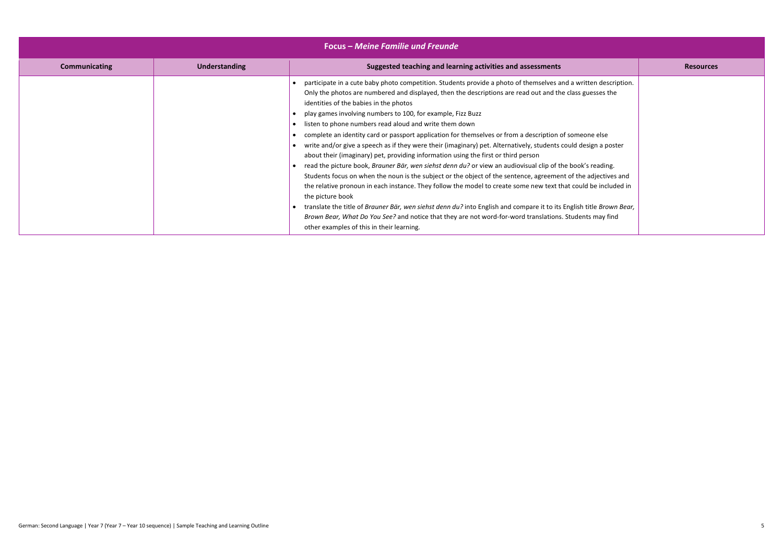| Focus – Meine Familie und Freunde |                      |                                                                                                                                                                                                                                                                                                                                                                                                                                                                                                                                                                                                                                                                                                                                                                                                                                                                                                                                                                                                                                                                                                                                                                                                                                                                                                                                                                        |                  |
|-----------------------------------|----------------------|------------------------------------------------------------------------------------------------------------------------------------------------------------------------------------------------------------------------------------------------------------------------------------------------------------------------------------------------------------------------------------------------------------------------------------------------------------------------------------------------------------------------------------------------------------------------------------------------------------------------------------------------------------------------------------------------------------------------------------------------------------------------------------------------------------------------------------------------------------------------------------------------------------------------------------------------------------------------------------------------------------------------------------------------------------------------------------------------------------------------------------------------------------------------------------------------------------------------------------------------------------------------------------------------------------------------------------------------------------------------|------------------|
| <b>Communicating</b>              | <b>Understanding</b> | Suggested teaching and learning activities and assessments                                                                                                                                                                                                                                                                                                                                                                                                                                                                                                                                                                                                                                                                                                                                                                                                                                                                                                                                                                                                                                                                                                                                                                                                                                                                                                             | <b>Resources</b> |
|                                   |                      | participate in a cute baby photo competition. Students provide a photo of themselves and a written description.<br>Only the photos are numbered and displayed, then the descriptions are read out and the class guesses the<br>identities of the babies in the photos<br>play games involving numbers to 100, for example, Fizz Buzz<br>listen to phone numbers read aloud and write them down<br>complete an identity card or passport application for themselves or from a description of someone else<br>write and/or give a speech as if they were their (imaginary) pet. Alternatively, students could design a poster<br>about their (imaginary) pet, providing information using the first or third person<br>read the picture book, Brauner Bär, wen siehst denn du? or view an audiovisual clip of the book's reading.<br>Students focus on when the noun is the subject or the object of the sentence, agreement of the adjectives and<br>the relative pronoun in each instance. They follow the model to create some new text that could be included in<br>the picture book<br>translate the title of Brauner Bär, wen siehst denn du? into English and compare it to its English title Brown Bear,<br>Brown Bear, What Do You See? and notice that they are not word-for-word translations. Students may find<br>other examples of this in their learning. |                  |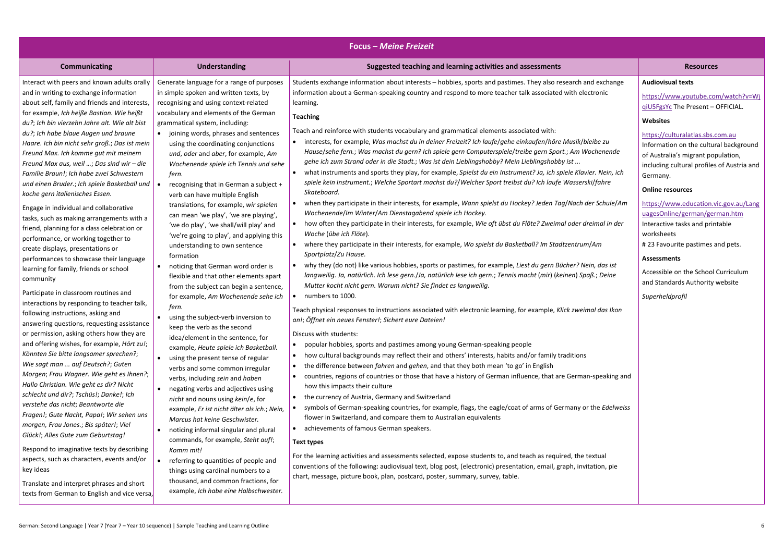| <b>Focus - Meine Freizeit</b>                                                                                                                                                                                                                                                                                                                                                                                                                                                                                                                                                                                                                                                                                                                                                                                                                                                                                                                                                                                                                                                                                                                                                                                                                                                                                                                                                                                                                                                                                                                                                                                                                                                                                                                                 |                                                                                                                                                                                                                                                                                                                                                                                                                                                                                                                                                                                                                                                                                                                                                                                                                                                                                                                                                                                                                                                                                                                                                                                                                                                                                                                                                                                                                                                                                                                                                                  |                                                                                                                                                                                                                                                                                                                                                                                                                                                                                                                                                                                                                                                                                                                                                                                                                                                                                                                                                                                                                                                                                                                                                                                                                                                                                                                                                                                                                                                                                                                                                                                                                                                                                                                                                                                                                                                                                                                                                                                                                                                                                                                                                                                                                                                                                                                                                                                                                                                                                                                                                                                                                                                                                                                                                                                                                                                                                                                                                                                                                                                             |                                                                                                                                                                                                                                                                                                                                                                                                                                                                                                  |
|---------------------------------------------------------------------------------------------------------------------------------------------------------------------------------------------------------------------------------------------------------------------------------------------------------------------------------------------------------------------------------------------------------------------------------------------------------------------------------------------------------------------------------------------------------------------------------------------------------------------------------------------------------------------------------------------------------------------------------------------------------------------------------------------------------------------------------------------------------------------------------------------------------------------------------------------------------------------------------------------------------------------------------------------------------------------------------------------------------------------------------------------------------------------------------------------------------------------------------------------------------------------------------------------------------------------------------------------------------------------------------------------------------------------------------------------------------------------------------------------------------------------------------------------------------------------------------------------------------------------------------------------------------------------------------------------------------------------------------------------------------------|------------------------------------------------------------------------------------------------------------------------------------------------------------------------------------------------------------------------------------------------------------------------------------------------------------------------------------------------------------------------------------------------------------------------------------------------------------------------------------------------------------------------------------------------------------------------------------------------------------------------------------------------------------------------------------------------------------------------------------------------------------------------------------------------------------------------------------------------------------------------------------------------------------------------------------------------------------------------------------------------------------------------------------------------------------------------------------------------------------------------------------------------------------------------------------------------------------------------------------------------------------------------------------------------------------------------------------------------------------------------------------------------------------------------------------------------------------------------------------------------------------------------------------------------------------------|-------------------------------------------------------------------------------------------------------------------------------------------------------------------------------------------------------------------------------------------------------------------------------------------------------------------------------------------------------------------------------------------------------------------------------------------------------------------------------------------------------------------------------------------------------------------------------------------------------------------------------------------------------------------------------------------------------------------------------------------------------------------------------------------------------------------------------------------------------------------------------------------------------------------------------------------------------------------------------------------------------------------------------------------------------------------------------------------------------------------------------------------------------------------------------------------------------------------------------------------------------------------------------------------------------------------------------------------------------------------------------------------------------------------------------------------------------------------------------------------------------------------------------------------------------------------------------------------------------------------------------------------------------------------------------------------------------------------------------------------------------------------------------------------------------------------------------------------------------------------------------------------------------------------------------------------------------------------------------------------------------------------------------------------------------------------------------------------------------------------------------------------------------------------------------------------------------------------------------------------------------------------------------------------------------------------------------------------------------------------------------------------------------------------------------------------------------------------------------------------------------------------------------------------------------------------------------------------------------------------------------------------------------------------------------------------------------------------------------------------------------------------------------------------------------------------------------------------------------------------------------------------------------------------------------------------------------------------------------------------------------------------------------------------------------------|--------------------------------------------------------------------------------------------------------------------------------------------------------------------------------------------------------------------------------------------------------------------------------------------------------------------------------------------------------------------------------------------------------------------------------------------------------------------------------------------------|
| <b>Communicating</b>                                                                                                                                                                                                                                                                                                                                                                                                                                                                                                                                                                                                                                                                                                                                                                                                                                                                                                                                                                                                                                                                                                                                                                                                                                                                                                                                                                                                                                                                                                                                                                                                                                                                                                                                          | <b>Understanding</b>                                                                                                                                                                                                                                                                                                                                                                                                                                                                                                                                                                                                                                                                                                                                                                                                                                                                                                                                                                                                                                                                                                                                                                                                                                                                                                                                                                                                                                                                                                                                             | Suggested teaching and learning activities and assessments                                                                                                                                                                                                                                                                                                                                                                                                                                                                                                                                                                                                                                                                                                                                                                                                                                                                                                                                                                                                                                                                                                                                                                                                                                                                                                                                                                                                                                                                                                                                                                                                                                                                                                                                                                                                                                                                                                                                                                                                                                                                                                                                                                                                                                                                                                                                                                                                                                                                                                                                                                                                                                                                                                                                                                                                                                                                                                                                                                                                  | <b>Resources</b>                                                                                                                                                                                                                                                                                                                                                                                                                                                                                 |
| Interact with peers and known adults orally<br>and in writing to exchange information<br>about self, family and friends and interests,<br>for example, Ich heiße Bastian. Wie heißt<br>du?; Ich bin vierzehn Jahre alt. Wie alt bist<br>du?; Ich habe blaue Augen und braune<br>Haare. Ich bin nicht sehr groß.; Das ist mein<br>Freund Max. Ich komme gut mit meinem<br>Freund Max aus, weil ; Das sind wir - die<br>Familie Braun!; Ich habe zwei Schwestern<br>und einen Bruder.; Ich spiele Basketball und $\vert \bullet \vert$<br>koche gern italienisches Essen.<br>Engage in individual and collaborative<br>tasks, such as making arrangements with a<br>friend, planning for a class celebration or<br>performance, or working together to<br>create displays, presentations or<br>performances to showcase their language<br>learning for family, friends or school<br>community<br>Participate in classroom routines and<br>interactions by responding to teacher talk,<br>following instructions, asking and<br>answering questions, requesting assistance<br>or permission, asking others how they are<br>and offering wishes, for example, Hört zu!;<br>Könnten Sie bitte langsamer sprechen?;<br>Wie sagt man  auf Deutsch?; Guten<br>Morgen; Frau Wagner. Wie geht es Ihnen?;<br>Hallo Christian. Wie geht es dir? Nicht<br>schlecht und dir?; Tschüs!; Danke!; Ich<br>verstehe das nicht; Beantworte die<br>Fragen!; Gute Nacht, Papa!; Wir sehen uns<br>morgen, Frau Jones.; Bis später!; Viel<br>Glück!; Alles Gute zum Geburtstag!<br>Respond to imaginative texts by describing<br>aspects, such as characters, events and/or<br>key ideas<br>Translate and interpret phrases and short<br>texts from German to English and vice versa, | Generate language for a range of purposes<br>in simple spoken and written texts, by<br>recognising and using context-related<br>vocabulary and elements of the German<br>grammatical system, including:<br>joining words, phrases and sentences<br>using the coordinating conjunctions<br>und, oder and aber, for example, Am<br>Wochenende spiele ich Tennis und sehe<br>fern.<br>recognising that in German a subject +<br>verb can have multiple English<br>translations, for example, wir spielen<br>can mean 'we play', 'we are playing',<br>'we do play', 'we shall/will play' and<br>'we're going to play', and applying this<br>understanding to own sentence<br>formation<br>noticing that German word order is<br>flexible and that other elements apart<br>from the subject can begin a sentence,<br>for example, Am Wochenende sehe ich<br>fern.<br>using the subject-verb inversion to<br>keep the verb as the second<br>idea/element in the sentence, for<br>example, Heute spiele ich Basketball.<br>using the present tense of regular<br>$\bullet$<br>verbs and some common irregular<br>verbs, including sein and haben<br>negating verbs and adjectives using<br>nicht and nouns using kein/e, for<br>example, Er ist nicht älter als ich.; Nein,<br>Marcus hat keine Geschwister.<br>noticing informal singular and plural<br>commands, for example, Steht auf!;<br>Komm mit!<br>referring to quantities of people and<br>things using cardinal numbers to a<br>thousand, and common fractions, for<br>example, Ich habe eine Halbschwester. | Students exchange information about interests - hobbies, sports and pastimes. They also research and exchange<br>information about a German-speaking country and respond to more teacher talk associated with electronic<br>learning.<br><b>Teaching</b><br>Teach and reinforce with students vocabulary and grammatical elements associated with:<br>interests, for example, Was machst du in deiner Freizeit? Ich laufe/gehe einkaufen/höre Musik/bleibe zu<br>Hause/sehe fern.; Was machst du gern? Ich spiele gern Computerspiele/treibe gern Sport.; Am Wochenende<br>gehe ich zum Strand oder in die Stadt.; Was ist dein Lieblingshobby? Mein Lieblingshobby ist<br>what instruments and sports they play, for example, Spielst du ein Instrument? Ja, ich spiele Klavier. Nein, ich<br>spiele kein Instrument.; Welche Sportart machst du?/Welcher Sport treibst du? Ich laufe Wasserski/fahre<br>Skateboard.<br>when they participate in their interests, for example, Wann spielst du Hockey? Jeden Tag/Nach der Schule/Am<br>Wochenende/Im Winter/Am Dienstagabend spiele ich Hockey.<br>how often they participate in their interests, for example, Wie oft übst du Flöte? Zweimal oder dreimal in der<br>Woche (übe ich Flöte).<br>where they participate in their interests, for example, Wo spielst du Basketball? Im Stadtzentrum/Am<br>$\bullet$<br>Sportplatz/Zu Hause.<br>why they (do not) like various hobbies, sports or pastimes, for example, Liest du gern Bücher? Nein, das ist<br>langweilig. Ja, natürlich. Ich lese gern./Ja, natürlich lese ich gern.; Tennis macht (mir) (keinen) Spaß.; Deine<br>Mutter kocht nicht gern. Warum nicht? Sie findet es langweilig.<br>numbers to 1000.<br>Teach physical responses to instructions associated with electronic learning, for example, Klick zweimal das Ikon<br>an!; Öffnet ein neues Fenster!; Sichert eure Dateien!<br>Discuss with students:<br>popular hobbies, sports and pastimes among young German-speaking people<br>$\bullet$<br>how cultural backgrounds may reflect their and others' interests, habits and/or family traditions<br>the difference between <i>fahren</i> and <i>gehen</i> , and that they both mean 'to go' in English<br>$\bullet$<br>countries, regions of countries or those that have a history of German influence, that are German-speaking and<br>$\bullet$<br>how this impacts their culture<br>the currency of Austria, Germany and Switzerland<br>symbols of German-speaking countries, for example, flags, the eagle/coat of arms of Germany or the Edelweiss<br>flower in Switzerland, and compare them to Australian equivalents<br>achievements of famous German speakers.<br>$\bullet$<br><b>Text types</b><br>For the learning activities and assessments selected, expose students to, and teach as required, the textual<br>conventions of the following: audiovisual text, blog post, (electronic) presentation, email, graph, invitation, pie<br>chart, message, picture book, plan, postcard, poster, summary, survey, table. | <b>Audiovisual texts</b><br>https://www.youtube.cor<br>giU5FgsYc The Present - 0<br><b>Websites</b><br>https://culturalatlas.sbs.c<br>Information on the cultur<br>of Australia's migrant pop<br>including cultural profiles<br>Germany.<br><b>Online resources</b><br>https://www.education.v<br>uagesOnline/german/ger<br>Interactive tasks and prin<br>worksheets<br>#23 Favourite pastimes a<br><b>Assessments</b><br>Accessible on the School<br>and Standards Authority<br>Superheldprofil |

|                                    | <b>Resources</b>                                                                                                                                               |
|------------------------------------|----------------------------------------------------------------------------------------------------------------------------------------------------------------|
| d exchange                         | <b>Audiovisual texts</b>                                                                                                                                       |
| tronic                             | https://www.youtube.com/watch?v=Wj<br>giU5FgsYc The Present - OFFICIAL.                                                                                        |
|                                    | Websites                                                                                                                                                       |
| ibe zu<br>chenende<br>r. Nein, ich | https://culturalatlas.sbs.com.au<br>Information on the cultural background<br>of Australia's migrant population,<br>including cultural profiles of Austria and |
| i/fahre                            | Germany.<br><b>Online resources</b>                                                                                                                            |
| r Schule/Am                        | https://www.education.vic.gov.au/Lang                                                                                                                          |
| imal in der                        | uagesOnline/german/german.htm<br>Interactive tasks and printable<br>worksheets                                                                                 |
| Am                                 | #23 Favourite pastimes and pets.                                                                                                                               |
| n, das ist                         | <b>Assessments</b>                                                                                                                                             |
| 3.; Deine                          | Accessible on the School Curriculum<br>and Standards Authority website                                                                                         |
|                                    | Superheldprofil                                                                                                                                                |
| al das Ikon                        |                                                                                                                                                                |
|                                    |                                                                                                                                                                |
|                                    |                                                                                                                                                                |
|                                    |                                                                                                                                                                |
| speaking and                       |                                                                                                                                                                |
| the Edelweiss                      |                                                                                                                                                                |
| xtual<br>ation, pie                |                                                                                                                                                                |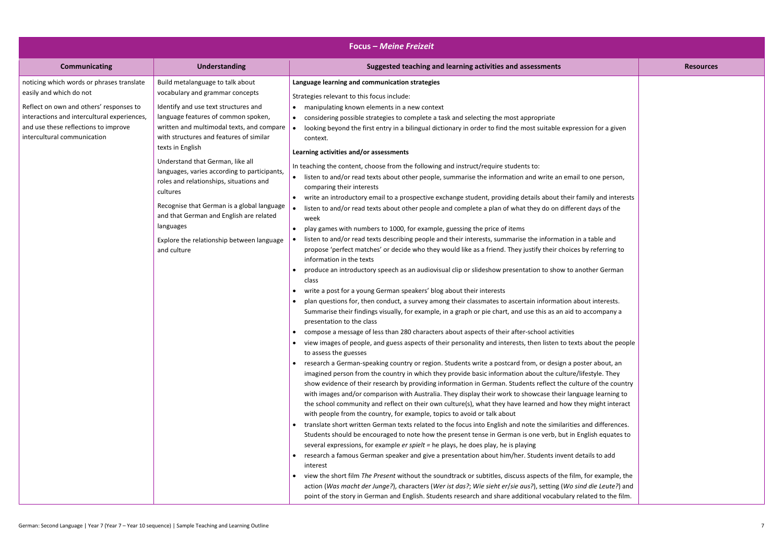| <b>Focus - Meine Freizeit</b>                                                                                                                                                                                                         |                                                                                                                                                                                                                                                                                                                                                                                                                                                                                                                                                                             |                                                                                                                                                                                                                                                                                                                                                                                                                                                                                                                                                                                                                                                                                                                                                                                                                                                                                                                                                                                                                                                                                                                                                                                                                                                                                                                                                                                                                                                                                                                                                                                                                                                                                                                                                                                                                                                                                                                                                                                                                                                                                                                                                                                                                                                                                                                                                                                                                                                                                                                                                                                                                                                                                                                                                                                                                                                                                                                                                                                                                                                                                                                                                                                                                                                                                                                                                                                                                                        |                  |
|---------------------------------------------------------------------------------------------------------------------------------------------------------------------------------------------------------------------------------------|-----------------------------------------------------------------------------------------------------------------------------------------------------------------------------------------------------------------------------------------------------------------------------------------------------------------------------------------------------------------------------------------------------------------------------------------------------------------------------------------------------------------------------------------------------------------------------|----------------------------------------------------------------------------------------------------------------------------------------------------------------------------------------------------------------------------------------------------------------------------------------------------------------------------------------------------------------------------------------------------------------------------------------------------------------------------------------------------------------------------------------------------------------------------------------------------------------------------------------------------------------------------------------------------------------------------------------------------------------------------------------------------------------------------------------------------------------------------------------------------------------------------------------------------------------------------------------------------------------------------------------------------------------------------------------------------------------------------------------------------------------------------------------------------------------------------------------------------------------------------------------------------------------------------------------------------------------------------------------------------------------------------------------------------------------------------------------------------------------------------------------------------------------------------------------------------------------------------------------------------------------------------------------------------------------------------------------------------------------------------------------------------------------------------------------------------------------------------------------------------------------------------------------------------------------------------------------------------------------------------------------------------------------------------------------------------------------------------------------------------------------------------------------------------------------------------------------------------------------------------------------------------------------------------------------------------------------------------------------------------------------------------------------------------------------------------------------------------------------------------------------------------------------------------------------------------------------------------------------------------------------------------------------------------------------------------------------------------------------------------------------------------------------------------------------------------------------------------------------------------------------------------------------------------------------------------------------------------------------------------------------------------------------------------------------------------------------------------------------------------------------------------------------------------------------------------------------------------------------------------------------------------------------------------------------------------------------------------------------------------------------------------------------|------------------|
| <b>Communicating</b>                                                                                                                                                                                                                  | <b>Understanding</b>                                                                                                                                                                                                                                                                                                                                                                                                                                                                                                                                                        | Suggested teaching and learning activities and assessments                                                                                                                                                                                                                                                                                                                                                                                                                                                                                                                                                                                                                                                                                                                                                                                                                                                                                                                                                                                                                                                                                                                                                                                                                                                                                                                                                                                                                                                                                                                                                                                                                                                                                                                                                                                                                                                                                                                                                                                                                                                                                                                                                                                                                                                                                                                                                                                                                                                                                                                                                                                                                                                                                                                                                                                                                                                                                                                                                                                                                                                                                                                                                                                                                                                                                                                                                                             | <b>Resources</b> |
| noticing which words or phrases translate<br>easily and which do not<br>Reflect on own and others' responses to<br>interactions and intercultural experiences,<br>and use these reflections to improve<br>intercultural communication | Build metalanguage to talk about<br>vocabulary and grammar concepts<br>Identify and use text structures and<br>language features of common spoken,<br>written and multimodal texts, and compare<br>with structures and features of similar<br>texts in English<br>Understand that German, like all<br>languages, varies according to participants,<br>roles and relationships, situations and<br>cultures<br>Recognise that German is a global language<br>and that German and English are related<br>languages<br>Explore the relationship between language<br>and culture | Language learning and communication strategies<br>Strategies relevant to this focus include:<br>manipulating known elements in a new context<br>• considering possible strategies to complete a task and selecting the most appropriate<br>looking beyond the first entry in a bilingual dictionary in order to find the most suitable expression for a given<br>context.<br>Learning activities and/or assessments<br>In teaching the content, choose from the following and instruct/require students to:<br>• listen to and/or read texts about other people, summarise the information and write an email to one person,<br>comparing their interests<br>write an introductory email to a prospective exchange student, providing details about their family and interests<br>listen to and/or read texts about other people and complete a plan of what they do on different days of the<br>week<br>play games with numbers to 1000, for example, guessing the price of items<br>listen to and/or read texts describing people and their interests, summarise the information in a table and<br>propose 'perfect matches' or decide who they would like as a friend. They justify their choices by referring to<br>information in the texts<br>produce an introductory speech as an audiovisual clip or slideshow presentation to show to another German<br>class<br>write a post for a young German speakers' blog about their interests<br>plan questions for, then conduct, a survey among their classmates to ascertain information about interests.<br>Summarise their findings visually, for example, in a graph or pie chart, and use this as an aid to accompany a<br>presentation to the class<br>compose a message of less than 280 characters about aspects of their after-school activities<br>view images of people, and guess aspects of their personality and interests, then listen to texts about the people<br>to assess the guesses<br>research a German-speaking country or region. Students write a postcard from, or design a poster about, an<br>imagined person from the country in which they provide basic information about the culture/lifestyle. They<br>show evidence of their research by providing information in German. Students reflect the culture of the country<br>with images and/or comparison with Australia. They display their work to showcase their language learning to<br>the school community and reflect on their own culture(s), what they have learned and how they might interact<br>with people from the country, for example, topics to avoid or talk about<br>translate short written German texts related to the focus into English and note the similarities and differences.<br>Students should be encouraged to note how the present tense in German is one verb, but in English equates to<br>several expressions, for example er spielt = he plays, he does play, he is playing<br>research a famous German speaker and give a presentation about him/her. Students invent details to add<br>interest<br>view the short film The Present without the soundtrack or subtitles, discuss aspects of the film, for example, the<br>action (Was macht der Junge?), characters (Wer ist das?; Wie sieht er/sie aus?), setting (Wo sind die Leute?) and<br>point of the story in German and English. Students research and share additional vocabulary related to the film. |                  |